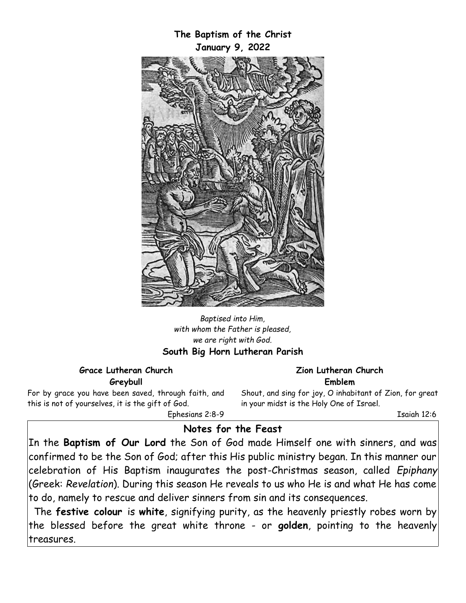

*Baptised into Him, with whom the Father is pleased, we are right with God.* **South Big Horn Lutheran Parish**

#### **Grace Lutheran Church Greybull**

For by grace you have been saved, through faith, and this is not of yourselves, it is the gift of God. Ephesians 2:8-9

**Zion Lutheran Church Emblem**

Shout, and sing for joy, O inhabitant of Zion, for great in your midst is the Holy One of Israel.

Isaiah 12:6

# **Notes for the Feast**

In the **Baptism of Our Lord** the Son of God made Himself one with sinners, and was confirmed to be the Son of God; after this His public ministry began. In this manner our celebration of His Baptism inaugurates the post-Christmas season, called *Epiphany* (Greek: *Revelation*). During this season He reveals to us who He is and what He has come to do, namely to rescue and deliver sinners from sin and its consequences.

The **festive colour** is **white**, signifying purity, as the heavenly priestly robes worn by the blessed before the great white throne - or **golden**, pointing to the heavenly treasures.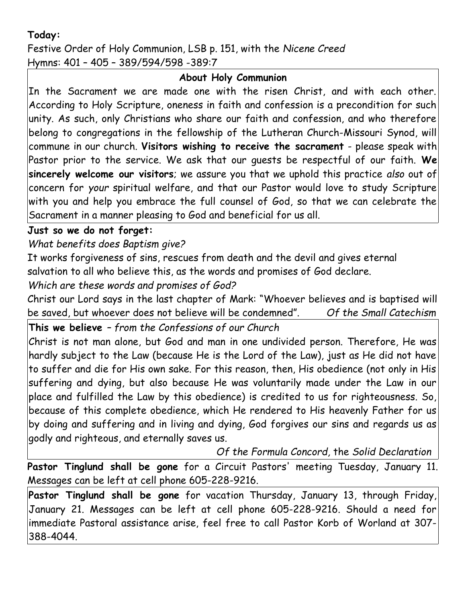# **Today:**

Festive Order of Holy Communion, LSB p. 151, with the *Nicene Creed* Hymns: 401 – 405 – 389/594/598 -389:7

### **About Holy Communion**

In the Sacrament we are made one with the risen Christ, and with each other. According to Holy Scripture, oneness in faith and confession is a precondition for such unity. As such, only Christians who share our faith and confession, and who therefore belong to congregations in the fellowship of the Lutheran Church-Missouri Synod, will commune in our church. **Visitors wishing to receive the sacrament** - please speak with Pastor prior to the service. We ask that our guests be respectful of our faith. **We sincerely welcome our visitors**; we assure you that we uphold this practice *also* out of concern for *your* spiritual welfare, and that our Pastor would love to study Scripture with you and help you embrace the full counsel of God, so that we can celebrate the Sacrament in a manner pleasing to God and beneficial for us all.

### **Just so we do not forget:**

*What benefits does Baptism give?*

It works forgiveness of sins, rescues from death and the devil and gives eternal salvation to all who believe this, as the words and promises of God declare.

# *Which are these words and promises of God?*

Christ our Lord says in the last chapter of Mark: "Whoever believes and is baptised will be saved, but whoever does not believe will be condemned". *Of the Small Catechism*

# **This we believe** *– from the Confessions of our Church*

Christ is not man alone, but God and man in one undivided person. Therefore, He was hardly subject to the Law (because He is the Lord of the Law), just as He did not have to suffer and die for His own sake. For this reason, then, His obedience (not only in His suffering and dying, but also because He was voluntarily made under the Law in our place and fulfilled the Law by this obedience) is credited to us for righteousness. So, because of this complete obedience, which He rendered to His heavenly Father for us by doing and suffering and in living and dying, God forgives our sins and regards us as godly and righteous, and eternally saves us.

*Of the Formula Concord,* the *Solid Declaration*

**Pastor Tinglund shall be gone** for a Circuit Pastors' meeting Tuesday, January 11. Messages can be left at cell phone 605-228-9216.

**Pastor Tinglund shall be gone** for vacation Thursday, January 13, through Friday, January 21. Messages can be left at cell phone 605-228-9216. Should a need for immediate Pastoral assistance arise, feel free to call Pastor Korb of Worland at 307- 388-4044.